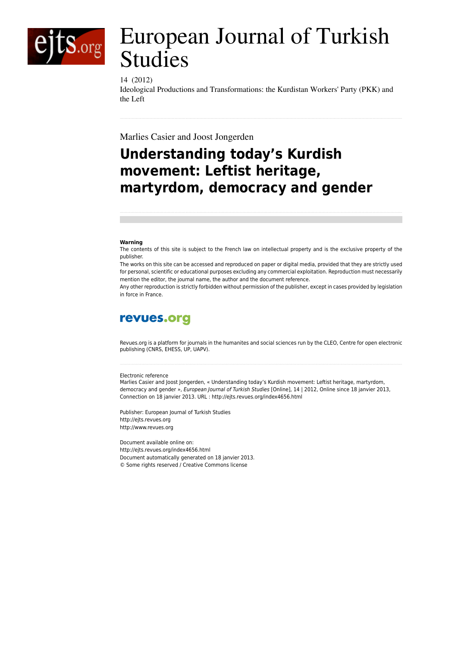

# European Journal of Turkish Studies

### 14 (2012)

Ideological Productions and Transformations: the Kurdistan Workers' Party (PKK) and the Left

Marlies Casier and Joost Jongerden

## **Understanding today's Kurdish movement: Leftist heritage, martyrdom, democracy and gender**

#### **Warning**

The contents of this site is subject to the French law on intellectual property and is the exclusive property of the publisher.

The works on this site can be accessed and reproduced on paper or digital media, provided that they are strictly used for personal, scientific or educational purposes excluding any commercial exploitation. Reproduction must necessarily mention the editor, the journal name, the author and the document reference.

Any other reproduction is strictly forbidden without permission of the publisher, except in cases provided by legislation in force in France.

## revues.org

Revues.org is a platform for journals in the humanites and social sciences run by the CLEO, Centre for open electronic publishing (CNRS, EHESS, UP, UAPV).

#### Electronic reference

Marlies Casier and Joost Jongerden, « Understanding today's Kurdish movement: Leftist heritage, martyrdom, democracy and gender », *European Journal of Turkish Studies* [Online], 14 | 2012, Online since 18 janvier 2013, Connection on 18 janvier 2013. URL : http://ejts.revues.org/index4656.html

Publisher: European Journal of Turkish Studies <http://ejts.revues.org> [http://www.revues.org](http://www.revues.org/)

Document available online on: <http://ejts.revues.org/index4656.html> Document automatically generated on 18 janvier 2013. © Some rights reserved / Creative Commons license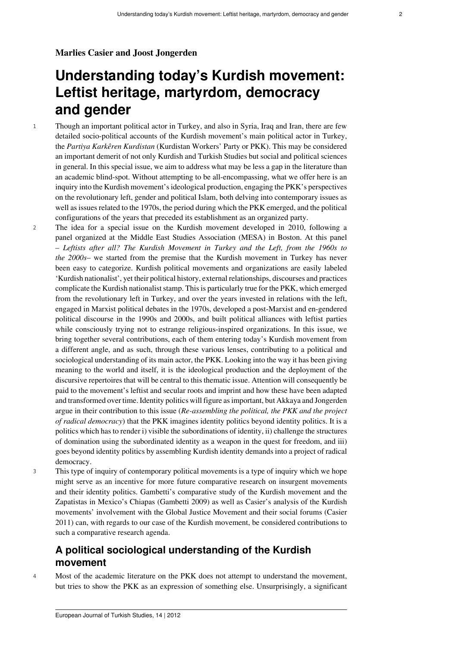### **Marlies Casier and Joost Jongerden**

## **Understanding today's Kurdish movement: Leftist heritage, martyrdom, democracy and gender**

- <sup>1</sup> Though an important political actor in Turkey, and also in Syria, Iraq and Iran, there are few detailed socio-political accounts of the Kurdish movement's main political actor in Turkey, the *Partiya Karkêren Kurdistan* (Kurdistan Workers' Party or PKK). This may be considered an important demerit of not only Kurdish and Turkish Studies but social and political sciences in general. In this special issue, we aim to address what may be less a gap in the literature than an academic blind-spot. Without attempting to be all-encompassing, what we offer here is an inquiry into the Kurdish movement's ideological production, engaging the PKK's perspectives on the revolutionary left, gender and political Islam, both delving into contemporary issues as well as issues related to the 1970s, the period during which the PKK emerged, and the political configurations of the years that preceded its establishment as an organized party.
- <sup>2</sup> The idea for a special issue on the Kurdish movement developed in 2010, following a panel organized at the Middle East Studies Association (MESA) in Boston. At this panel – *Leftists after all? The Kurdish Movement in Turkey and the Left, from the 1960s to the 2000s*– we started from the premise that the Kurdish movement in Turkey has never been easy to categorize. Kurdish political movements and organizations are easily labeled 'Kurdish nationalist', yet their political history, external relationships, discourses and practices complicate the Kurdish nationalist stamp. This is particularly true for the PKK, which emerged from the revolutionary left in Turkey, and over the years invested in relations with the left, engaged in Marxist political debates in the 1970s, developed a post-Marxist and en-gendered political discourse in the 1990s and 2000s, and built political alliances with leftist parties while consciously trying not to estrange religious-inspired organizations. In this issue, we bring together several contributions, each of them entering today's Kurdish movement from a different angle, and as such, through these various lenses, contributing to a political and sociological understanding of its main actor, the PKK. Looking into the way it has been giving meaning to the world and itself, it is the ideological production and the deployment of the discursive repertoires that will be central to this thematic issue. Attention will consequently be paid to the movement's leftist and secular roots and imprint and how these have been adapted and transformed over time. Identity politics will figure as important, but Akkaya and Jongerden argue in their contribution to this issue (*Re-assembling the political, the PKK and the project of radical democracy*) that the PKK imagines identity politics beyond identity politics. It is a politics which has to render i) visible the subordinations of identity, ii) challenge the structures of domination using the subordinated identity as a weapon in the quest for freedom, and iii) goes beyond identity politics by assembling Kurdish identity demands into a project of radical democracy.
- <sup>3</sup> This type of inquiry of contemporary political movements is a type of inquiry which we hope might serve as an incentive for more future comparative research on insurgent movements and their identity politics. Gambetti's comparative study of the Kurdish movement and the Zapatistas in Mexico's Chiapas (Gambetti 2009) as well as Casier's analysis of the Kurdish movements' involvement with the Global Justice Movement and their social forums (Casier 2011) can, with regards to our case of the Kurdish movement, be considered contributions to such a comparative research agenda.

## **A political sociological understanding of the Kurdish movement**

<sup>4</sup> Most of the academic literature on the PKK does not attempt to understand the movement, but tries to show the PKK as an expression of something else. Unsurprisingly, a significant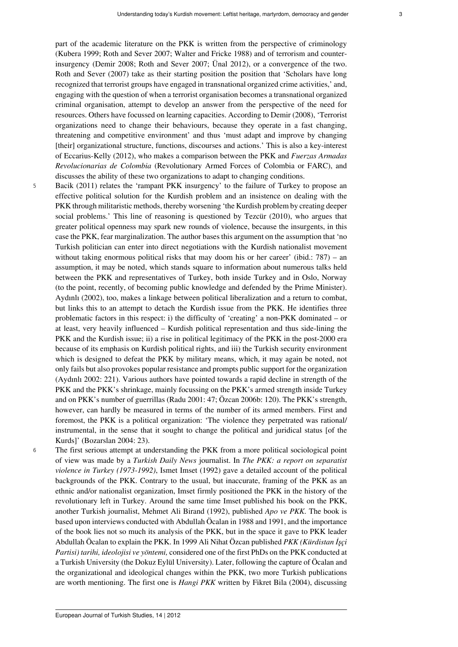part of the academic literature on the PKK is written from the perspective of criminology (Kubera 1999; Roth and Sever 2007; Walter and Fricke 1988) and of terrorism and counterinsurgency (Demir 2008; Roth and Sever 2007; Ünal 2012), or a convergence of the two. Roth and Sever (2007) take as their starting position the position that 'Scholars have long recognized that terrorist groups have engaged in transnational organized crime activities,' and, engaging with the question of when a terrorist organisation becomes a transnational organized criminal organisation, attempt to develop an answer from the perspective of the need for resources. Others have focussed on learning capacities. According to Demir (2008), 'Terrorist organizations need to change their behaviours, because they operate in a fast changing, threatening and competitive environment' and thus 'must adapt and improve by changing [their] organizational structure, functions, discourses and actions.' This is also a key-interest of Eccarius-Kelly (2012), who makes a comparison between the PKK and *Fuerzas Armadas Revolucionarias de Colombia* (Revolutionary Armed Forces of Colombia or FARC), and discusses the ability of these two organizations to adapt to changing conditions.

<sup>5</sup> Bacik (2011) relates the 'rampant PKK insurgency' to the failure of Turkey to propose an effective political solution for the Kurdish problem and an insistence on dealing with the PKK through militaristic methods, thereby worsening 'the Kurdish problem by creating deeper social problems.' This line of reasoning is questioned by Tezcür (2010), who argues that greater political openness may spark new rounds of violence, because the insurgents, in this case the PKK, fear marginalization. The author bases this argument on the assumption that 'no Turkish politician can enter into direct negotiations with the Kurdish nationalist movement without taking enormous political risks that may doom his or her career' (ibid.:  $787$ ) – an assumption, it may be noted, which stands square to information about numerous talks held between the PKK and representatives of Turkey, both inside Turkey and in Oslo, Norway (to the point, recently, of becoming public knowledge and defended by the Prime Minister). Aydınlı (2002), too, makes a linkage between political liberalization and a return to combat, but links this to an attempt to detach the Kurdish issue from the PKK. He identifies three problematic factors in this respect: i) the difficulty of 'creating' a non-PKK dominated – or at least, very heavily influenced – Kurdish political representation and thus side-lining the PKK and the Kurdish issue; ii) a rise in political legitimacy of the PKK in the post-2000 era because of its emphasis on Kurdish political rights, and iii) the Turkish security environment which is designed to defeat the PKK by military means, which, it may again be noted, not only fails but also provokes popular resistance and prompts public support for the organization (Aydınlı 2002: 221). Various authors have pointed towards a rapid decline in strength of the PKK and the PKK's shrinkage, mainly focussing on the PKK's armed strength inside Turkey and on PKK's number of guerrillas (Radu 2001: 47; Özcan 2006b: 120). The PKK's strength, however, can hardly be measured in terms of the number of its armed members. First and foremost, the PKK is a political organization: 'The violence they perpetrated was rational/ instrumental, in the sense that it sought to change the political and juridical status [of the Kurds]' (Bozarslan 2004: 23).

<sup>6</sup> The first serious attempt at understanding the PKK from a more political sociological point of view was made by a *Turkish Daily News* journalist. In *The PKK: a report on separatist violence in Turkey (1973-1992)*, Ismet Imset (1992) gave a detailed account of the political backgrounds of the PKK. Contrary to the usual, but inaccurate, framing of the PKK as an ethnic and/or nationalist organization, Imset firmly positioned the PKK in the history of the revolutionary left in Turkey. Around the same time Imset published his book on the PKK, another Turkish journalist, Mehmet Ali Birand (1992), published *Apo ve PKK.* The book is based upon interviews conducted with Abdullah Öcalan in 1988 and 1991, and the importance of the book lies not so much its analysis of the PKK, but in the space it gave to PKK leader Abdullah Öcalan to explain the PKK. In 1999 Ali Nihat Özcan published *PKK (Kürdistan İşçi Partisi) tarihi, ideolojisi ve yöntemi,* considered one of the first PhDs on the PKK conducted at a Turkish University (the Dokuz Eylül University). Later, following the capture of Öcalan and the organizational and ideological changes within the PKK, two more Turkish publications are worth mentioning. The first one is *Hangi PKK* written by Fikret Bila (2004), discussing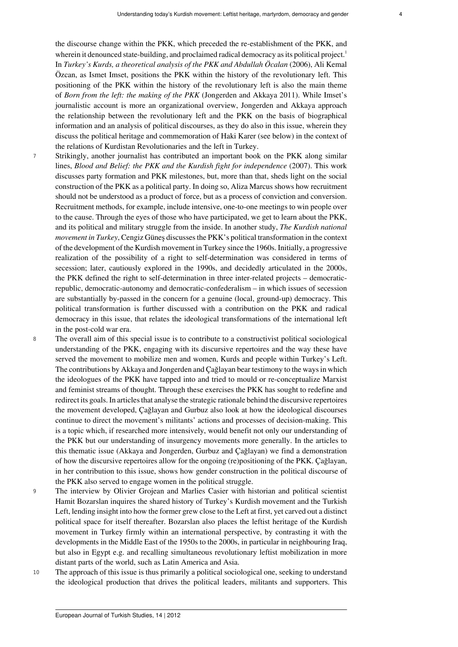<span id="page-3-0"></span>the discourse change within the PKK, which preceded the re-establishment of the PKK, and wherein it denounced state-building, and proclaimed radical democracy as its political project.<sup>[1](#page-9-0)</sup> In *Turkey's Kurds, a theoretical analysis of the PKK and Abdullah Öcalan* (2006), Ali Kemal Özcan, as Ismet Imset, positions the PKK within the history of the revolutionary left. This positioning of the PKK within the history of the revolutionary left is also the main theme of *Born from the left: the making of the PKK* (Jongerden and Akkaya 2011). While Imset's journalistic account is more an organizational overview, Jongerden and Akkaya approach the relationship between the revolutionary left and the PKK on the basis of biographical information and an analysis of political discourses, as they do also in this issue, wherein they discuss the political heritage and commemoration of Haki Karer (see below) in the context of the relations of Kurdistan Revolutionaries and the left in Turkey.

- <sup>7</sup> Strikingly, another journalist has contributed an important book on the PKK along similar lines, *Blood and Belief: the PKK and the Kurdish fight for independence* (2007). This work discusses party formation and PKK milestones, but, more than that, sheds light on the social construction of the PKK as a political party. In doing so, Aliza Marcus shows how recruitment should not be understood as a product of force, but as a process of conviction and conversion. Recruitment methods, for example, include intensive, one-to-one meetings to win people over to the cause. Through the eyes of those who have participated, we get to learn about the PKK, and its political and military struggle from the inside. In another study, *The Kurdish national movement in Turkey*, Cengiz Güneş discusses the PKK's political transformation in the context of the development of the Kurdish movement in Turkey since the 1960s. Initially, a progressive realization of the possibility of a right to self-determination was considered in terms of secession; later, cautiously explored in the 1990s, and decidedly articulated in the 2000s, the PKK defined the right to self-determination in three inter-related projects – democraticrepublic, democratic-autonomy and democratic-confederalism – in which issues of secession are substantially by-passed in the concern for a genuine (local, ground-up) democracy. This political transformation is further discussed with a contribution on the PKK and radical democracy in this issue, that relates the ideological transformations of the international left in the post-cold war era.
- <sup>8</sup> The overall aim of this special issue is to contribute to a constructivist political sociological understanding of the PKK, engaging with its discursive repertoires and the way these have served the movement to mobilize men and women, Kurds and people within Turkey's Left. The contributions by Akkaya and Jongerden and Çağlayan bear testimony to the ways in which the ideologues of the PKK have tapped into and tried to mould or re-conceptualize Marxist and feminist streams of thought. Through these exercises the PKK has sought to redefine and redirect its goals. In articles that analyse the strategic rationale behind the discursive repertoires the movement developed, Çağlayan and Gurbuz also look at how the ideological discourses continue to direct the movement's militants' actions and processes of decision-making. This is a topic which, if researched more intensively, would benefit not only our understanding of the PKK but our understanding of insurgency movements more generally. In the articles to this thematic issue (Akkaya and Jongerden, Gurbuz and Çağlayan) we find a demonstration of how the discursive repertoires allow for the ongoing (re)positioning of the PKK. Çağlayan, in her contribution to this issue, shows how gender construction in the political discourse of the PKK also served to engage women in the political struggle.
- <sup>9</sup> The interview by Olivier Grojean and Marlies Casier with historian and political scientist Hamit Bozarslan inquires the shared history of Turkey's Kurdish movement and the Turkish Left, lending insight into how the former grew close to the Left at first, yet carved out a distinct political space for itself thereafter. Bozarslan also places the leftist heritage of the Kurdish movement in Turkey firmly within an international perspective, by contrasting it with the developments in the Middle East of the 1950s to the 2000s, in particular in neighbouring Iraq, but also in Egypt e.g. and recalling simultaneous revolutionary leftist mobilization in more distant parts of the world, such as Latin America and Asia.
- <sup>10</sup> The approach of this issue is thus primarily a political sociological one, seeking to understand the ideological production that drives the political leaders, militants and supporters. This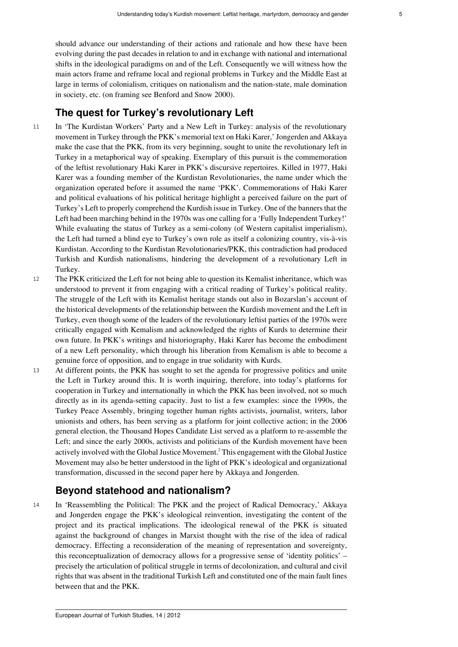should advance our understanding of their actions and rationale and how these have been evolving during the past decades in relation to and in exchange with national and international shifts in the ideological paradigms on and of the Left. Consequently we will witness how the main actors frame and reframe local and regional problems in Turkey and the Middle East at large in terms of colonialism, critiques on nationalism and the nation-state, male domination in society, etc. (on framing see Benford and Snow 2000).

## **The quest for Turkey's revolutionary Left**

- <sup>11</sup> In ['The Kurdistan Workers' Party and a New Left in Turkey: analysis of the revolutionary](http://ejts.revues.org/index4613.html) [movement in Turkey through the PKK's memorial text on Haki Karer](http://ejts.revues.org/index4613.html),' Jongerden and Akkaya make the case that the PKK, from its very beginning, sought to unite the revolutionary left in Turkey in a metaphorical way of speaking. Exemplary of this pursuit is the commemoration of the leftist revolutionary Haki Karer in PKK's discursive repertoires. Killed in 1977, Haki Karer was a founding member of the Kurdistan Revolutionaries, the name under which the organization operated before it assumed the name 'PKK'. Commemorations of Haki Karer and political evaluations of his political heritage highlight a perceived failure on the part of Turkey's Left to properly comprehend the Kurdish issue in Turkey. One of the banners that the Left had been marching behind in the 1970s was one calling for a 'Fully Independent Turkey!' While evaluating the status of Turkey as a semi-colony (of Western capitalist imperialism), the Left had turned a blind eye to Turkey's own role as itself a colonizing country, vis-à-vis Kurdistan. According to the Kurdistan Revolutionaries/PKK, this contradiction had produced Turkish and Kurdish nationalisms, hindering the development of a revolutionary Left in Turkey.
- <sup>12</sup> The PKK criticized the Left for not being able to question its Kemalist inheritance, which was understood to prevent it from engaging with a critical reading of Turkey's political reality. The struggle of the Left with its Kemalist heritage stands out also in Bozarslan's account of the historical developments of the relationship between the Kurdish movement and the Left in Turkey, even though some of the leaders of the revolutionary leftist parties of the 1970s were critically engaged with Kemalism and acknowledged the rights of Kurds to determine their own future. In PKK's writings and historiography, Haki Karer has become the embodiment of a new Left personality, which through his liberation from Kemalism is able to become a genuine force of opposition, and to engage in true solidarity with Kurds.
- <sup>13</sup> At different points, the PKK has sought to set the agenda for progressive politics and unite the Left in Turkey around this. It is worth inquiring, therefore, into today's platforms for cooperation in Turkey and internationally in which the PKK has been involved, not so much directly as in its agenda-setting capacity. Just to list a few examples: since the 1990s, the Turkey Peace Assembly, bringing together human rights activists, journalist, writers, labor unionists and others, has been serving as a platform for joint collective action; in the 2006 general election, the Thousand Hopes Candidate List served as a platform to re-assemble the Left; and since the early 2000s, activists and politicians of the Kurdish movement have been actively involved with the Global Justice Movement.<sup>[2](#page-9-1)</sup> This engagement with the Global Justice Movement may also be better understood in the light of PKK's ideological and organizational transformation, discussed in the second paper here by Akkaya and Jongerden.

## <span id="page-4-0"></span>**Beyond statehood and nationalism?**

<sup>14</sup> In '[Reassembling the Political: The PKK and the project of Radical Democracy](http://ejts.revues.org/index4615.html),' Akkaya and Jongerden engage the PKK's ideological reinvention, investigating the content of the project and its practical implications. The ideological renewal of the PKK is situated against the background of changes in Marxist thought with the rise of the idea of radical democracy. Effecting a reconsideration of the meaning of representation and sovereignty, this reconceptualization of democracy allows for a progressive sense of 'identity politics' – precisely the articulation of political struggle in terms of decolonization, and cultural and civil rights that was absent in the traditional Turkish Left and constituted one of the main fault lines between that and the PKK.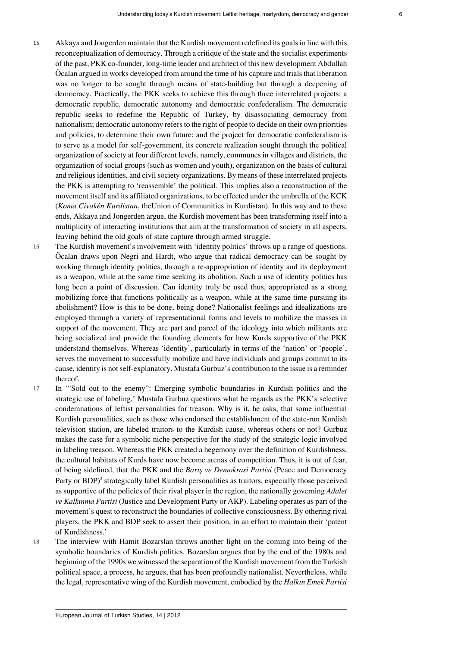- <sup>15</sup> Akkaya and Jongerden maintain that the Kurdish movement redefined its goals in line with this reconceptualization of democracy. Through a critique of the state and the socialist experiments of the past, PKK co-founder, long-time leader and architect of this new development Abdullah Öcalan argued in works developed from around the time of his capture and trials that liberation was no longer to be sought through means of state-building but through a deepening of democracy. Practically, the PKK seeks to achieve this through three interrelated projects: a democratic republic, democratic autonomy and democratic confederalism. The democratic republic seeks to redefine the Republic of Turkey, by disassociating democracy from nationalism; democratic autonomy refers to the right of people to decide on their own priorities and policies, to determine their own future; and the project for democratic confederalism is to serve as a model for self-government, its concrete realization sought through the political organization of society at four different levels, namely, communes in villages and districts, the organization of social groups (such as women and youth), organization on the basis of cultural and religious identities, and civil society organizations. By means of these interrelated projects the PKK is attempting to 'reassemble' the political. This implies also a reconstruction of the movement itself and its affiliated organizations, to be effected under the umbrella of the KCK (*Koma Civakên Kurdistan*, theUnion of Communities in Kurdistan). In this way and to these ends, Akkaya and Jongerden argue, the Kurdish movement has been transforming itself into a multiplicity of interacting institutions that aim at the transformation of society in all aspects, leaving behind the old goals of state capture through armed struggle.
- <sup>16</sup> The Kurdish movement's involvement with 'identity politics' throws up a range of questions. Öcalan draws upon Negri and Hardt, who argue that radical democracy can be sought by working through identity politics, through a re-appropriation of identity and its deployment as a weapon, while at the same time seeking its abolition. Such a use of identity politics has long been a point of discussion. Can identity truly be used thus, appropriated as a strong mobilizing force that functions politically as a weapon, while at the same time pursuing its abolishment? How is this to be done, being done? Nationalist feelings and idealizations are employed through a variety of representational forms and levels to mobilize the masses in support of the movement. They are part and parcel of the ideology into which militants are being socialized and provide the founding elements for how Kurds supportive of the PKK understand themselves. Whereas 'identity', particularly in terms of the 'nation' or 'people', serves the movement to successfully mobilize and have individuals and groups commit to its cause, identity is not self-explanatory. Mustafa Gurbuz's contribution to the issue is a reminder thereof.
- <sup>17</sup> In ['"Sold out to the enemy": Emerging symbolic boundaries in Kurdish politics and the](http://ejts.revues.org/index4629.html) [strategic use of labeling](http://ejts.revues.org/index4629.html),' Mustafa Gurbuz questions what he regards as the PKK's selective condemnations of leftist personalities for treason. Why is it, he asks, that some influential Kurdish personalities, such as those who endorsed the establishment of the state-run Kurdish television station, are labeled traitors to the Kurdish cause, whereas others or not? Gurbuz makes the case for a symbolic niche perspective for the study of the strategic logic involved in labeling treason. Whereas the PKK created a hegemony over the definition of Kurdishness, the cultural habitats of Kurds have now become arenas of competition. Thus, it is out of fear, of being sidelined, that the PKK and the *Barış ve Demokrasi Partisi* (Peace and Democracy Party or BDP)<sup>[3](#page-9-2)</sup> strategically label Kurdish personalities as traitors, especially those perceived as supportive of the policies of their rival player in the region, the nationally governing *Adalet ve Kalkınma Partisi* (Justice and Development Party or AKP). Labeling operates as part of the movement's quest to reconstruct the boundaries of collective consciousness. By othering rival players, the PKK and BDP seek to assert their position, in an effort to maintain their 'patent of Kurdishness.'
- <span id="page-5-0"></span><sup>18</sup> The [interview with Hamit Bozarslan](http://ejts.revues.org/index4663.html) throws another light on the coming into being of the symbolic boundaries of Kurdish politics. Bozarslan argues that by the end of the 1980s and beginning of the 1990s we witnessed the separation of the Kurdish movement from the Turkish political space, a process, he argues, that has been profoundly nationalist. Nevertheless, while the legal, representative wing of the Kurdish movement, embodied by the *Halkın Emek Partisi*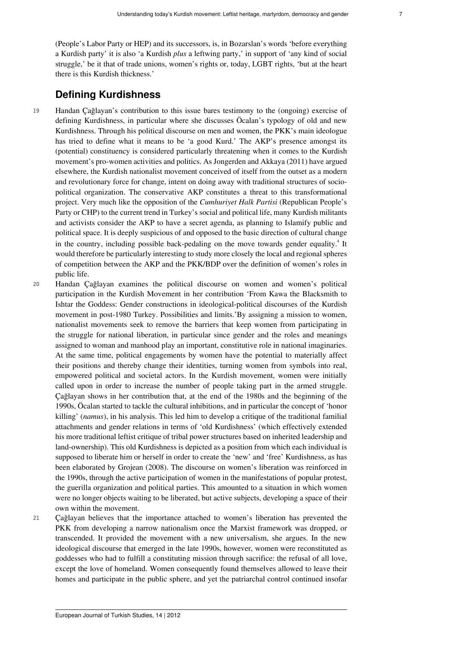(People's Labor Party or HEP) and its successors, is, in Bozarslan's words 'before everything a Kurdish party' it is also 'a Kurdish *plus* a leftwing party,' in support of 'any kind of social struggle,' be it that of trade unions, women's rights or, today, LGBT rights, 'but at the heart there is this Kurdish thickness.'

## **Defining Kurdishness**

- <sup>19</sup> Handan Çağlayan's contribution to this issue bares testimony to the (ongoing) exercise of defining Kurdishness, in particular where she discusses Öcalan's typology of old and new Kurdishness. Through his political discourse on men and women, the PKK's main ideologue has tried to define what it means to be 'a good Kurd.' The AKP's presence amongst its (potential) constituency is considered particularly threatening when it comes to the Kurdish movement's pro-women activities and politics. As Jongerden and Akkaya (2011) have argued elsewhere, the Kurdish nationalist movement conceived of itself from the outset as a modern and revolutionary force for change, intent on doing away with traditional structures of sociopolitical organization. The conservative AKP constitutes a threat to this transformational project. Very much like the opposition of the *Cumhuriyet Halk Partisi* (Republican People's Party or CHP) to the current trend in Turkey's social and political life, many Kurdish militants and activists consider the AKP to have a secret agenda, as planning to Islamify public and political space. It is deeply suspicious of and opposed to the basic direction of cultural change in the country, including possible back-pedaling on the move towards gender equality.<sup>[4](#page-9-3)</sup> It would therefore be particularly interesting to study more closely the local and regional spheres of competition between the AKP and the PKK/BDP over the definition of women's roles in public life.
- <span id="page-6-0"></span><sup>20</sup> Handan Çağlayan examines the political discourse on women and women's political participation in the Kurdish Movement in her contribution ['From Kawa the Blacksmith to](http://ejts.revues.org/index4657.html) [Ishtar the Goddess: Gender constructions in ideological-political discourses of the Kurdish](http://ejts.revues.org/index4657.html) [movement in post-1980 Turkey. Possibilities and limits](http://ejts.revues.org/index4657.html).'By assigning a mission to women, nationalist movements seek to remove the barriers that keep women from participating in the struggle for national liberation, in particular since gender and the roles and meanings assigned to woman and manhood play an important, constitutive role in national imaginaries. At the same time, political engagements by women have the potential to materially affect their positions and thereby change their identities, turning women from symbols into real, empowered political and societal actors. In the Kurdish movement, women were initially called upon in order to increase the number of people taking part in the armed struggle. Çağlayan shows in her contribution that, at the end of the 1980s and the beginning of the 1990s, Öcalan started to tackle the cultural inhibitions, and in particular the concept of 'honor killing' (*namus*), in his analysis. This led him to develop a critique of the traditional familial attachments and gender relations in terms of 'old Kurdishness' (which effectively extended his more traditional leftist critique of tribal power structures based on inherited leadership and land-ownership). This old Kurdishness is depicted as a position from which each individual is supposed to liberate him or herself in order to create the 'new' and 'free' Kurdishness, as has been elaborated by Grojean (2008). The discourse on women's liberation was reinforced in the 1990s, through the active participation of women in the manifestations of popular protest, the guerilla organization and political parties. This amounted to a situation in which women were no longer objects waiting to be liberated, but active subjects, developing a space of their own within the movement.
- <sup>21</sup> Çağlayan believes that the importance attached to women's liberation has prevented the PKK from developing a narrow nationalism once the Marxist framework was dropped, or transcended. It provided the movement with a new universalism, she argues. In the new ideological discourse that emerged in the late 1990s, however, women were reconstituted as goddesses who had to fulfill a constituting mission through sacrifice: the refusal of all love, except the love of homeland. Women consequently found themselves allowed to leave their homes and participate in the public sphere, and yet the patriarchal control continued insofar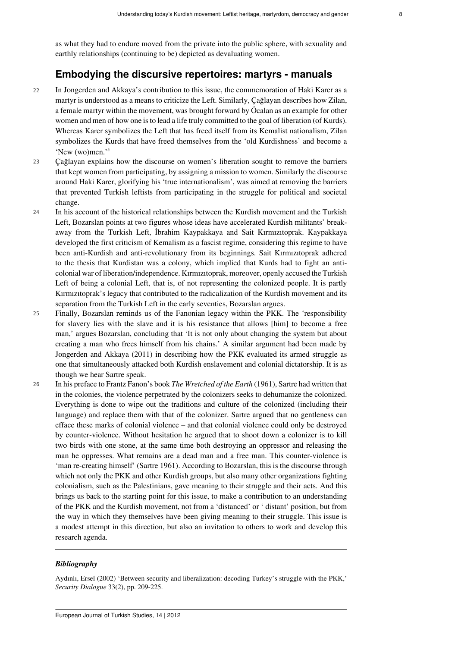as what they had to endure moved from the private into the public sphere, with sexuality and earthly relationships (continuing to be) depicted as devaluating women.

## **Embodying the discursive repertoires: martyrs - manuals**

- <sup>22</sup> In Jongerden and Akkaya's contribution to this issue, the commemoration of Haki Karer as a martyr is understood as a means to criticize the Left. Similarly, Çağlayan describes how Zilan, a female martyr within the movement, was brought forward by Öcalan as an example for other women and men of how one is to lead a life truly committed to the goal of liberation (of Kurds). Whereas Karer symbolizes the Left that has freed itself from its Kemalist nationalism, Zilan symbolizes the Kurds that have freed themselves from the 'old Kurdishness' and become a 'New (wo)men.'[5](#page-9-4)
- <span id="page-7-0"></span><sup>23</sup> Çağlayan explains how the discourse on women's liberation sought to remove the barriers that kept women from participating, by assigning a mission to women. Similarly the discourse around Haki Karer, glorifying his 'true internationalism', was aimed at removing the barriers that prevented Turkish leftists from participating in the struggle for political and societal change.
- <sup>24</sup> In his account of the historical relationships between the Kurdish movement and the Turkish Left, Bozarslan points at two figures whose ideas have accelerated Kurdish militants' breakaway from the Turkish Left, İbrahim Kaypakkaya and Sait Kırmızıtoprak. Kaypakkaya developed the first criticism of Kemalism as a fascist regime, considering this regime to have been anti-Kurdish and anti-revolutionary from its beginnings. Sait Kırmızıtoprak adhered to the thesis that Kurdistan was a colony, which implied that Kurds had to fight an anticolonial war of liberation/independence. Kırmızıtoprak, moreover, openly accused the Turkish Left of being a colonial Left, that is, of not representing the colonized people. It is partly Kırmızıtoprak's legacy that contributed to the radicalization of the Kurdish movement and its separation from the Turkish Left in the early seventies, Bozarslan argues.
- <sup>25</sup> Finally, Bozarslan reminds us of the Fanonian legacy within the PKK. The 'responsibility for slavery lies with the slave and it is his resistance that allows [him] to become a free man,' argues Bozarslan, concluding that 'It is not only about changing the system but about creating a man who frees himself from his chains.' A similar argument had been made by Jongerden and Akkaya (2011) in describing how the PKK evaluated its armed struggle as one that simultaneously attacked both Kurdish enslavement and colonial dictatorship. It is as though we hear Sartre speak.
- <sup>26</sup> In his preface to Frantz Fanon's book *The Wretched of the Earth* (1961), Sartre had written that in the colonies, the violence perpetrated by the colonizers seeks to dehumanize the colonized. Everything is done to wipe out the traditions and culture of the colonized (including their language) and replace them with that of the colonizer. Sartre argued that no gentleness can efface these marks of colonial violence – and that colonial violence could only be destroyed by counter-violence. Without hesitation he argued that to shoot down a colonizer is to kill two birds with one stone, at the same time both destroying an oppressor and releasing the man he oppresses. What remains are a dead man and a free man. This counter-violence is 'man re-creating himself' (Sartre 1961). According to Bozarslan, this is the discourse through which not only the PKK and other Kurdish groups, but also many other organizations fighting colonialism, such as the Palestinians, gave meaning to their struggle and their acts. And this brings us back to the starting point for this issue, to make a contribution to an understanding of the PKK and the Kurdish movement, not from a 'distanced' or ' distant' position, but from the way in which they themselves have been giving meaning to their struggle. This issue is a modest attempt in this direction, but also an invitation to others to work and develop this research agenda.

#### *Bibliography*

Aydınlı, Ersel (2002) 'Between security and liberalization: decoding Turkey's struggle with the PKK,' *Security Dialogue* 33(2), pp. 209-225.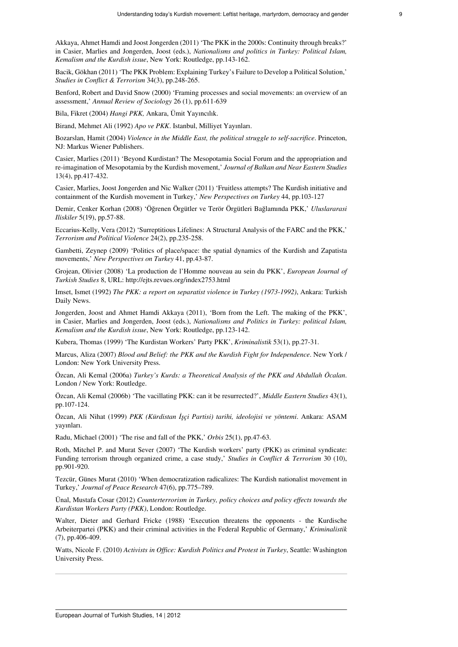Akkaya, Ahmet Hamdi and Joost Jongerden (2011) 'The PKK in the 2000s: Continuity through breaks?' in Casier, Marlies and Jongerden, Joost (eds.), *Nationalisms and politics in Turkey: Political Islam, Kemalism and the Kurdish issue*, New York: Routledge, pp.143-162.

Bacik, Gökhan (2011) 'The PKK Problem: Explaining Turkey's Failure to Develop a Political Solution,' *Studies in Conflict & Terrorism* 34(3), pp.248-265.

Benford, Robert and David Snow (2000) 'Framing processes and social movements: an overview of an assessment,' *Annual Review of Sociology* 26 (1), pp.611-639

Bila, Fikret (2004) *Hangi PKK,* Ankara, Ümit Yayıncılık.

Birand, Mehmet Ali (1992) *Apo ve PKK*. Istanbul, Milliyet Yayınları.

Bozarslan, Hamit (2004) *Violence in the Middle East, the political struggle to self-sacrifice*. Princeton, NJ: Markus Wiener Publishers.

Casier, Marlies (2011) 'Beyond Kurdistan? The Mesopotamia Social Forum and the appropriation and re-imagination of Mesopotamia by the Kurdish movement,' *Journal of Balkan and Near Eastern Studies* 13(4), pp.417-432.

Casier, Marlies, Joost Jongerden and Nic Walker (2011) 'Fruitless attempts? The Kurdish initiative and containment of the Kurdish movement in Turkey,' *New Perspectives on Turkey* 44, pp.103-127

Demir, Cenker Korhan (2008) 'Öğrenen Örgütler ve Terör Örgütleri Bağlamında PKK,' *Uluslararasi Iliskiler* 5(19), pp.57-88.

Eccarius-Kelly, Vera (2012) 'Surreptitious Lifelines: A Structural Analysis of the FARC and the PKK,' *Terrorism and Political Violence* 24(2), pp.235-258.

Gambetti, Zeynep (2009) 'Politics of place/space: the spatial dynamics of the Kurdish and Zapatista movements,' *New Perspectives on Turkey* 41, pp.43-87.

Grojean, Olivier (2008) 'La production de l'Homme nouveau au sein du PKK', *European Journal of Turkish Studies* 8, URL: http://ejts.revues.org/index2753.html

Imset, Ismet (1992) *The PKK: a report on separatist violence in Turkey (1973-1992)*, Ankara: Turkish Daily News.

Jongerden, Joost and Ahmet Hamdi Akkaya (2011), 'Born from the Left. The making of the PKK', in Casier, Marlies and Jongerden, Joost (eds.), *Nationalisms and Politics in Turkey: political Islam, Kemalism and the Kurdish issue*, New York: Routledge, pp.123-142.

Kubera, Thomas (1999) 'The Kurdistan Workers' Party PKK', *Kriminalistik* 53(1), pp.27-31.

Marcus, Aliza (2007) *Blood and Belief: the PKK and the Kurdish Fight for Independence*. New York / London: New York University Press.

Özcan, Ali Kemal (2006a) *Turkey's Kurds: a Theoretical Analysis of the PKK and Abdullah Öcalan*. London / New York: Routledge.

Özcan, Ali Kemal (2006b) 'The vacillating PKK: can it be resurrected?', *Middle Eastern Studies* 43(1), pp.107-124.

Özcan, Ali Nihat (1999) *PKK (Kürdistan İşçi Partisi) tarihi, ideolojisi ve yöntemi*. Ankara: ASAM yayınları.

Radu, Michael (2001) 'The rise and fall of the PKK,' *Orbis* 25(1), pp.47-63.

Roth, Mitchel P. and Murat Sever (2007) 'The Kurdish workers' party (PKK) as criminal syndicate: Funding terrorism through organized crime, a case study,' *Studies in Conflict & Terrorism* 30 (10), pp.901-920.

Tezcür, Günes Murat (2010) 'When democratization radicalizes: The Kurdish nationalist movement in Turkey,' *Journal of Peace Research* 47(6), pp.775–789.

Ünal, Mustafa Cosar (2012) *Counterterrorism in Turkey, policy choices and policy effects towards the Kurdistan Workers Party (PKK)*, London: Routledge.

Walter, Dieter and Gerhard Fricke (1988) 'Execution threatens the opponents - the Kurdische Arbeiterpartei (PKK) and their criminal activities in the Federal Republic of Germany,' *Kriminalistik* (7), pp.406-409.

Watts, Nicole F. (2010) *Activists in Office: Kurdish Politics and Protest in Turkey*, Seattle: Washington University Press.